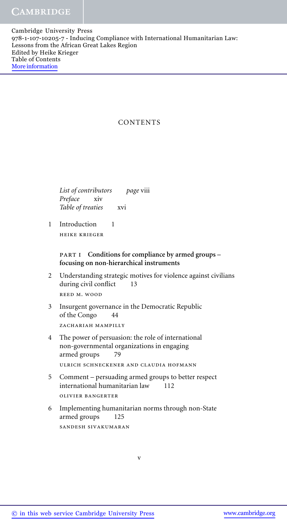Cambridge University Press 978-1-107-10205-7 - Inducing Compliance with International Humanitarian Law: Lessons from the African Great Lakes Region Edited by Heike Krieger Table of Contents More information

# **CONTENTS**

*List of contributors page* viii *Preface* xiv *Table of treaties* xvi

1 Introduction 1 heike krieger

# part i **Conditions for compliance by armed groups – focusing on non-hierarchical instruments**

2 Understanding strategic motives for violence against civilians during civil conflict 13 reed m. wood

3 Insurgent governance in the Democratic Republic of the Congo 44 ZACHARIAH MAMPILLY

- 4 The power of persuasion: the role of international non-governmental organizations in engaging armed groups 79 ulrich schneckener and claudia hofmann
- 5 Comment persuading armed groups to better respect international humanitarian law 112 olivier bangerter
- 6 Implementing humanitarian norms through non-State armed groups 125 sandesh sivakumaran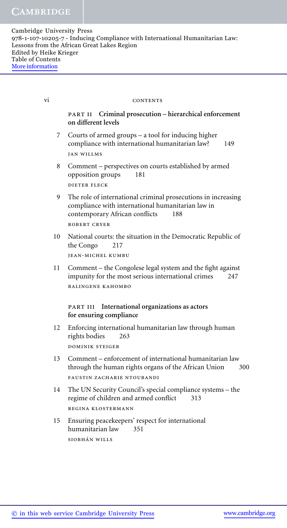#### vi CONTENTS

## part ii **Criminal prosecution – hierarchical enforcement on different levels**

- 7 Courts of armed groups a tool for inducing higher compliance with international humanitarian law? 149 jan willms
- 8 Comment perspectives on courts established by armed opposition groups 181 dieter fleck
- 9 The role of international criminal prosecutions in increasing compliance with international humanitarian law in contemporary African conflicts 188 robert cryer
- 10 National courts: the situation in the Democratic Republic of the Congo 217 jean-michel kumbu
- 11 Comment the Congolese legal system and the fight against impunity for the most serious international crimes 247 balingene kahombo

### part iii **International organizations as actors for ensuring compliance**

- 12 Enforcing international humanitarian law through human rights bodies 263 dominik steiger
- 13 Comment enforcement of international humanitarian law through the human rights organs of the African Union 300 FAUSTIN ZACHARIE NTOUBANDI
- 14 The UN Security Council's special compliance systems the regime of children and armed conflict 313 regina klostermann
- 15 Ensuring peacekeepers' respect for international humanitarian law 351 SIOBHÁN WILLS